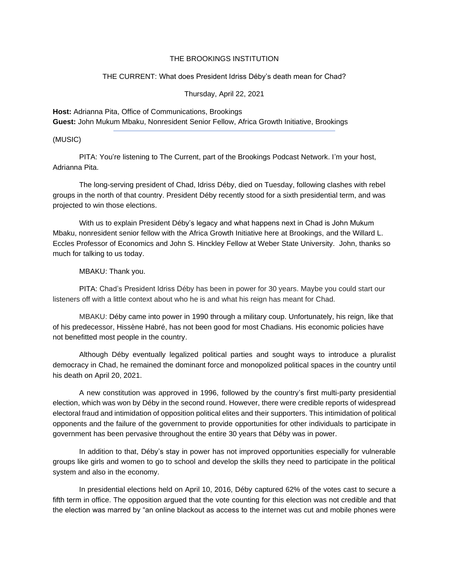## THE BROOKINGS INSTITUTION

## THE CURRENT: What does President Idriss Déby's death mean for Chad?

Thursday, April 22, 2021

**Host:** Adrianna Pita, Office of Communications, Brookings **Guest:** John Mukum Mbaku, Nonresident Senior Fellow, Africa Growth Initiative, Brookings

(MUSIC)

PITA: You're listening to The Current, part of the Brookings Podcast Network. I'm your host, Adrianna Pita.

The long-serving president of Chad, Idriss Déby, died on Tuesday, following clashes with rebel groups in the north of that country. President Déby recently stood for a sixth presidential term, and was projected to win those elections.

With us to explain President Déby's legacy and what happens next in Chad is John Mukum Mbaku, nonresident senior fellow with the Africa Growth Initiative here at Brookings, and the Willard L. Eccles Professor of Economics and John S. Hinckley Fellow at Weber State University. John, thanks so much for talking to us today.

MBAKU: Thank you.

PITA: Chad's President Idriss Déby has been in power for 30 years. Maybe you could start our listeners off with a little context about who he is and what his reign has meant for Chad.

MBAKU: Déby came into power in 1990 through a military coup. Unfortunately, his reign, like that of his predecessor, Hissène Habré, has not been good for most Chadians. His economic policies have not benefitted most people in the country.

Although Déby eventually legalized political parties and sought ways to introduce a pluralist democracy in Chad, he remained the dominant force and monopolized political spaces in the country until his death on April 20, 2021.

A new constitution was approved in 1996, followed by the country's first multi-party presidential election, which was won by Déby in the second round. However, there were credible reports of widespread electoral fraud and intimidation of opposition political elites and their supporters. This intimidation of political opponents and the failure of the government to provide opportunities for other individuals to participate in government has been pervasive throughout the entire 30 years that Déby was in power.

In addition to that, Déby's stay in power has not improved opportunities especially for vulnerable groups like girls and women to go to school and develop the skills they need to participate in the political system and also in the economy.

In presidential elections held on April 10, 2016, Déby captured 62% of the votes cast to secure a fifth term in office. The opposition argued that the vote counting for this election was not credible and that the election was marred by "an online blackout as access to the internet was cut and mobile phones were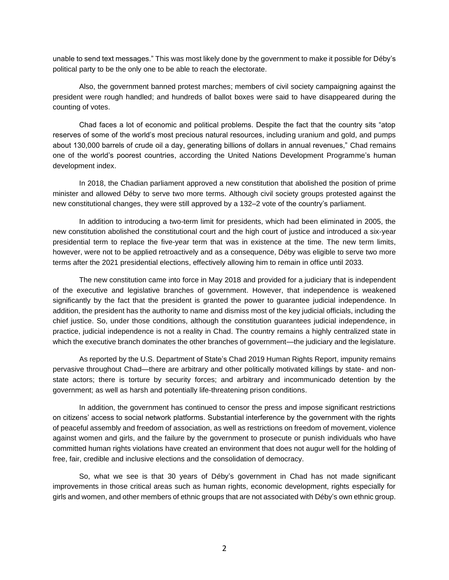unable to send text messages." This was most likely done by the government to make it possible for Déby's political party to be the only one to be able to reach the electorate.

Also, the government banned protest marches; members of civil society campaigning against the president were rough handled; and hundreds of ballot boxes were said to have disappeared during the counting of votes.

Chad faces a lot of economic and political problems. Despite the fact that the country sits "atop reserves of some of the world's most precious natural resources, including uranium and gold, and pumps about 130,000 barrels of crude oil a day, generating billions of dollars in annual revenues," Chad remains one of the world's poorest countries, according the United Nations Development Programme's human development index.

In 2018, the Chadian parliament approved a new constitution that abolished the position of prime minister and allowed Déby to serve two more terms. Although civil society groups protested against the new constitutional changes, they were still approved by a 132–2 vote of the country's parliament.

In addition to introducing a two-term limit for presidents, which had been eliminated in 2005, the new constitution abolished the constitutional court and the high court of justice and introduced a six-year presidential term to replace the five-year term that was in existence at the time. The new term limits, however, were not to be applied retroactively and as a consequence, Déby was eligible to serve two more terms after the 2021 presidential elections, effectively allowing him to remain in office until 2033.

The new constitution came into force in May 2018 and provided for a judiciary that is independent of the executive and legislative branches of government. However, that independence is weakened significantly by the fact that the president is granted the power to guarantee judicial independence. In addition, the president has the authority to name and dismiss most of the key judicial officials, including the chief justice. So, under those conditions, although the constitution guarantees judicial independence, in practice, judicial independence is not a reality in Chad. The country remains a highly centralized state in which the executive branch dominates the other branches of government—the judiciary and the legislature.

As reported by the U.S. Department of State's Chad 2019 Human Rights Report, impunity remains pervasive throughout Chad—there are arbitrary and other politically motivated killings by state- and nonstate actors; there is torture by security forces; and arbitrary and incommunicado detention by the government; as well as harsh and potentially life-threatening prison conditions.

In addition, the government has continued to censor the press and impose significant restrictions on citizens' access to social network platforms. Substantial interference by the government with the rights of peaceful assembly and freedom of association, as well as restrictions on freedom of movement, violence against women and girls, and the failure by the government to prosecute or punish individuals who have committed human rights violations have created an environment that does not augur well for the holding of free, fair, credible and inclusive elections and the consolidation of democracy.

So, what we see is that 30 years of Déby's government in Chad has not made significant improvements in those critical areas such as human rights, economic development, rights especially for girls and women, and other members of ethnic groups that are not associated with Déby's own ethnic group.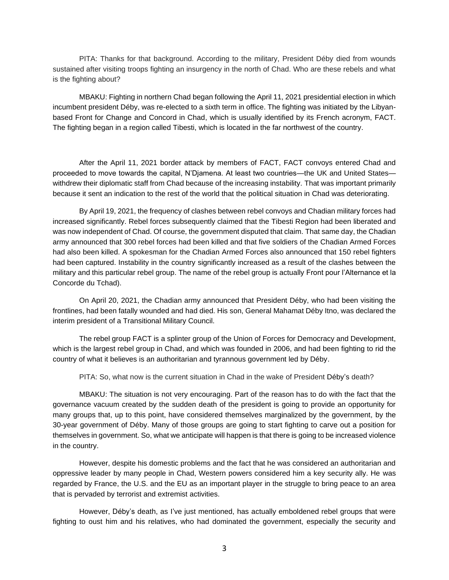PITA: Thanks for that background. According to the military, President Déby died from wounds sustained after visiting troops fighting an insurgency in the north of Chad. Who are these rebels and what is the fighting about?

MBAKU: Fighting in northern Chad began following the April 11, 2021 presidential election in which incumbent president Déby, was re-elected to a sixth term in office. The fighting was initiated by the Libyanbased Front for Change and Concord in Chad, which is usually identified by its French acronym, FACT. The fighting began in a region called Tibesti, which is located in the far northwest of the country.

After the April 11, 2021 border attack by members of FACT, FACT convoys entered Chad and proceeded to move towards the capital, N'Djamena. At least two countries—the UK and United States withdrew their diplomatic staff from Chad because of the increasing instability. That was important primarily because it sent an indication to the rest of the world that the political situation in Chad was deteriorating.

By April 19, 2021, the frequency of clashes between rebel convoys and Chadian military forces had increased significantly. Rebel forces subsequently claimed that the Tibesti Region had been liberated and was now independent of Chad. Of course, the government disputed that claim. That same day, the Chadian army announced that 300 rebel forces had been killed and that five soldiers of the Chadian Armed Forces had also been killed. A spokesman for the Chadian Armed Forces also announced that 150 rebel fighters had been captured. Instability in the country significantly increased as a result of the clashes between the military and this particular rebel group. The name of the rebel group is actually Front pour l'Alternance et la Concorde du Tchad).

On April 20, 2021, the Chadian army announced that President Déby, who had been visiting the frontlines, had been fatally wounded and had died. His son, General Mahamat Déby Itno, was declared the interim president of a Transitional Military Council.

The rebel group FACT is a splinter group of the Union of Forces for Democracy and Development, which is the largest rebel group in Chad, and which was founded in 2006, and had been fighting to rid the country of what it believes is an authoritarian and tyrannous government led by Déby.

PITA: So, what now is the current situation in Chad in the wake of President Déby's death?

MBAKU: The situation is not very encouraging. Part of the reason has to do with the fact that the governance vacuum created by the sudden death of the president is going to provide an opportunity for many groups that, up to this point, have considered themselves marginalized by the government, by the 30-year government of Déby. Many of those groups are going to start fighting to carve out a position for themselves in government. So, what we anticipate will happen is that there is going to be increased violence in the country.

However, despite his domestic problems and the fact that he was considered an authoritarian and oppressive leader by many people in Chad, Western powers considered him a key security ally. He was regarded by France, the U.S. and the EU as an important player in the struggle to bring peace to an area that is pervaded by terrorist and extremist activities.

However, Déby's death, as I've just mentioned, has actually emboldened rebel groups that were fighting to oust him and his relatives, who had dominated the government, especially the security and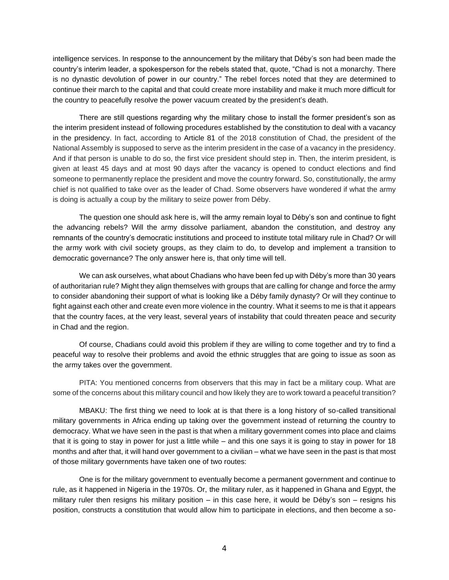intelligence services. In response to the announcement by the military that Déby's son had been made the country's interim leader, a spokesperson for the rebels stated that, quote, "Chad is not a monarchy. There is no dynastic devolution of power in our country." The rebel forces noted that they are determined to continue their march to the capital and that could create more instability and make it much more difficult for the country to peacefully resolve the power vacuum created by the president's death.

There are still questions regarding why the military chose to install the former president's son as the interim president instead of following procedures established by the constitution to deal with a vacancy in the presidency. In fact, according to Article 81 of the 2018 constitution of Chad, the president of the National Assembly is supposed to serve as the interim president in the case of a vacancy in the presidency. And if that person is unable to do so, the first vice president should step in. Then, the interim president, is given at least 45 days and at most 90 days after the vacancy is opened to conduct elections and find someone to permanently replace the president and move the country forward. So, constitutionally, the army chief is not qualified to take over as the leader of Chad. Some observers have wondered if what the army is doing is actually a coup by the military to seize power from Déby.

The question one should ask here is, will the army remain loyal to Déby's son and continue to fight the advancing rebels? Will the army dissolve parliament, abandon the constitution, and destroy any remnants of the country's democratic institutions and proceed to institute total military rule in Chad? Or will the army work with civil society groups, as they claim to do, to develop and implement a transition to democratic governance? The only answer here is, that only time will tell.

We can ask ourselves, what about Chadians who have been fed up with Déby's more than 30 years of authoritarian rule? Might they align themselves with groups that are calling for change and force the army to consider abandoning their support of what is looking like a Déby family dynasty? Or will they continue to fight against each other and create even more violence in the country. What it seems to me is that it appears that the country faces, at the very least, several years of instability that could threaten peace and security in Chad and the region.

Of course, Chadians could avoid this problem if they are willing to come together and try to find a peaceful way to resolve their problems and avoid the ethnic struggles that are going to issue as soon as the army takes over the government.

PITA: You mentioned concerns from observers that this may in fact be a military coup. What are some of the concerns about this military council and how likely they are to work toward a peaceful transition?

MBAKU: The first thing we need to look at is that there is a long history of so-called transitional military governments in Africa ending up taking over the government instead of returning the country to democracy. What we have seen in the past is that when a military government comes into place and claims that it is going to stay in power for just a little while – and this one says it is going to stay in power for 18 months and after that, it will hand over government to a civilian – what we have seen in the past is that most of those military governments have taken one of two routes:

One is for the military government to eventually become a permanent government and continue to rule, as it happened in Nigeria in the 1970s. Or, the military ruler, as it happened in Ghana and Egypt, the military ruler then resigns his military position – in this case here, it would be Déby's son – resigns his position, constructs a constitution that would allow him to participate in elections, and then become a so